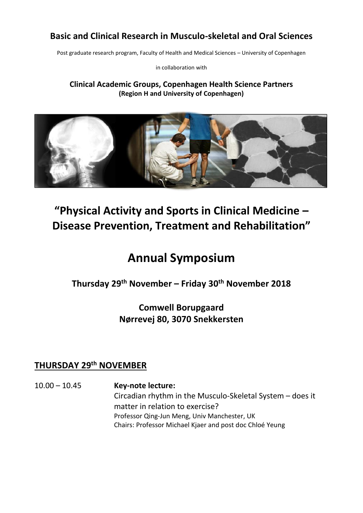### **Basic and Clinical Research in Musculo-skeletal and Oral Sciences**

Post graduate research program, Faculty of Health and Medical Sciences – University of Copenhagen

in collaboration with

### **Clinical Academic Groups, Copenhagen Health Science Partners (Region H and University of Copenhagen)**



# **"Physical Activity and Sports in Clinical Medicine – Disease Prevention, Treatment and Rehabilitation"**

# **Annual Symposium**

### **Thursday 29th November – Friday 30th November 2018**

### **Comwell Borupgaard Nørrevej 80, 3070 Snekkersten**

### **THURSDAY 29th NOVEMBER**

10.00 – 10.45 **Key-note lecture:** Circadian rhythm in the Musculo-Skeletal System – does it matter in relation to exercise? Professor Qing-Jun Meng, Univ Manchester, UK Chairs: Professor Michael Kjaer and post doc Chloé Yeung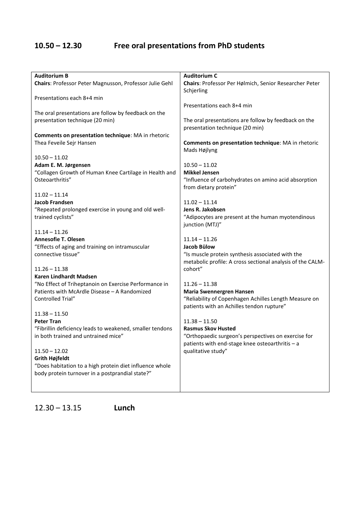## **10.50 – 12.30 Free oral presentations from PhD students**

| <b>Auditorium B</b>                                                                             | <b>Auditorium C</b>                                        |
|-------------------------------------------------------------------------------------------------|------------------------------------------------------------|
| Chairs: Professor Peter Magnusson, Professor Julie Gehl                                         | Chairs: Professor Per Hølmich, Senior Researcher Peter     |
|                                                                                                 | Schjerling                                                 |
| Presentations each 8+4 min                                                                      |                                                            |
|                                                                                                 |                                                            |
|                                                                                                 | Presentations each 8+4 min                                 |
| The oral presentations are follow by feedback on the                                            |                                                            |
| presentation technique (20 min)                                                                 | The oral presentations are follow by feedback on the       |
|                                                                                                 | presentation technique (20 min)                            |
| Comments on presentation technique: MA in rhetoric                                              |                                                            |
| Thea Feveile Sejr Hansen                                                                        | Comments on presentation technique: MA in rhetoric         |
|                                                                                                 | Mads Højlyng                                               |
| $10.50 - 11.02$                                                                                 |                                                            |
| Adam E. M. Jørgensen                                                                            | $10.50 - 11.02$                                            |
| "Collagen Growth of Human Knee Cartilage in Health and                                          | <b>Mikkel Jensen</b>                                       |
| Osteoarthritis"                                                                                 | "Influence of carbohydrates on amino acid absorption       |
|                                                                                                 | from dietary protein"                                      |
| $11.02 - 11.14$                                                                                 |                                                            |
| <b>Jacob Frandsen</b>                                                                           | $11.02 - 11.14$                                            |
|                                                                                                 |                                                            |
| "Repeated prolonged exercise in young and old well-                                             | Jens R. Jakobsen                                           |
| trained cyclists"                                                                               | "Adipocytes are present at the human myotendinous          |
|                                                                                                 | junction (MTJ)"                                            |
| $11.14 - 11.26$                                                                                 |                                                            |
| <b>Annesofie T. Olesen</b>                                                                      | $11.14 - 11.26$                                            |
| "Effects of aging and training on intramuscular                                                 | Jacob Bülow                                                |
| connective tissue"                                                                              | "Is muscle protein synthesis associated with the           |
|                                                                                                 | metabolic profile: A cross sectional analysis of the CALM- |
| $11.26 - 11.38$                                                                                 | cohort"                                                    |
| Karen Lindhardt Madsen                                                                          |                                                            |
| "No Effect of Triheptanoin on Exercise Performance in                                           | $11.26 - 11.38$                                            |
| Patients with McArdle Disease - A Randomized                                                    | <b>Maria Swennergren Hansen</b>                            |
| Controlled Trial"                                                                               | "Reliability of Copenhagen Achilles Length Measure on      |
|                                                                                                 | patients with an Achilles tendon rupture"                  |
| $11.38 - 11.50$                                                                                 |                                                            |
| <b>Peter Tran</b>                                                                               | $11.38 - 11.50$                                            |
|                                                                                                 | <b>Rasmus Skov Husted</b>                                  |
| "Fibrillin deficiency leads to weakened, smaller tendons<br>in both trained and untrained mice" |                                                            |
|                                                                                                 | "Orthopaedic surgeon's perspectives on exercise for        |
|                                                                                                 | patients with end-stage knee osteoarthritis - a            |
| $11.50 - 12.02$                                                                                 | qualitative study"                                         |
| <b>Grith Højfeldt</b>                                                                           |                                                            |
| "Does habitation to a high protein diet influence whole                                         |                                                            |
| body protein turnover in a postprandial state?"                                                 |                                                            |
|                                                                                                 |                                                            |
|                                                                                                 |                                                            |

12.30 – 13.15 **Lunch**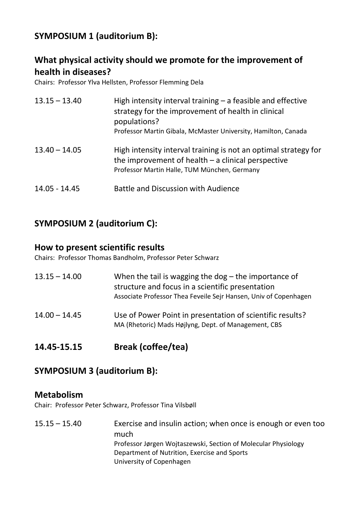### **SYMPOSIUM 1 (auditorium B):**

### **What physical activity should we promote for the improvement of health in diseases?**

Chairs: Professor Ylva Hellsten, Professor Flemming Dela

| $13.15 - 13.40$ | High intensity interval training $-$ a feasible and effective<br>strategy for the improvement of health in clinical<br>populations?<br>Professor Martin Gibala, McMaster University, Hamilton, Canada |
|-----------------|-------------------------------------------------------------------------------------------------------------------------------------------------------------------------------------------------------|
| $13.40 - 14.05$ | High intensity interval training is not an optimal strategy for<br>the improvement of health $-$ a clinical perspective<br>Professor Martin Halle, TUM München, Germany                               |
| 14.05 - 14.45   | <b>Battle and Discussion with Audience</b>                                                                                                                                                            |

### **SYMPOSIUM 2 (auditorium C):**

### **How to present scientific results**

Chairs: Professor Thomas Bandholm, Professor Peter Schwarz

| $13.15 - 14.00$ | When the tail is wagging the dog $-$ the importance of<br>structure and focus in a scientific presentation<br>Associate Professor Thea Feveile Sejr Hansen, Univ of Copenhagen |
|-----------------|--------------------------------------------------------------------------------------------------------------------------------------------------------------------------------|
| $14.00 - 14.45$ | Use of Power Point in presentation of scientific results?<br>MA (Rhetoric) Mads Højlyng, Dept. of Management, CBS                                                              |

**14.45-15.15 Break (coffee/tea)**

### **SYMPOSIUM 3 (auditorium B):**

### **Metabolism**

Chair: Professor Peter Schwarz, Professor Tina Vilsbøll

15.15 – 15.40 Exercise and insulin action; when once is enough or even too much Professor Jørgen Wojtaszewski, Section of Molecular Physiology Department of Nutrition, Exercise and Sports University of Copenhagen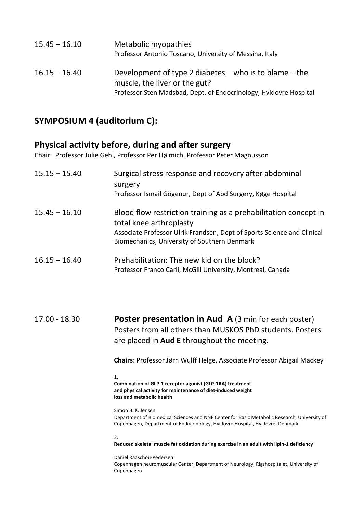| $15.45 - 16.10$ | Metabolic myopathies<br>Professor Antonio Toscano, University of Messina, Italy             |
|-----------------|---------------------------------------------------------------------------------------------|
| $16.15 - 16.40$ | Development of type 2 diabetes $-$ who is to blame $-$ the<br>muscle, the liver or the gut? |
|                 | Professor Sten Madsbad, Dept. of Endocrinology, Hvidovre Hospital                           |

### **SYMPOSIUM 4 (auditorium C):**

### **Physical activity before, during and after surgery**

Chair: Professor Julie Gehl, Professor Per Hølmich, Professor Peter Magnusson

| $15.15 - 15.40$ | Surgical stress response and recovery after abdominal<br>surgery<br>Professor Ismail Gögenur, Dept of Abd Surgery, Køge Hospital                                                                                      |
|-----------------|-----------------------------------------------------------------------------------------------------------------------------------------------------------------------------------------------------------------------|
| $15.45 - 16.10$ | Blood flow restriction training as a prehabilitation concept in<br>total knee arthroplasty<br>Associate Professor Ulrik Frandsen, Dept of Sports Science and Clinical<br>Biomechanics, University of Southern Denmark |
| $16.15 - 16.40$ | Prehabilitation: The new kid on the block?<br>Professor Franco Carli, McGill University, Montreal, Canada                                                                                                             |

17.00 - 18.30 **Poster presentation in Aud A** (3 min for each poster) Posters from all others than MUSKOS PhD students. Posters are placed in **Aud E** throughout the meeting.

**Chairs**: Professor Jørn Wulff Helge, Associate Professor Abigail Mackey

1.

**Combination of GLP-1 receptor agonist (GLP-1RA) treatment and physical activity for maintenance of diet-induced weight loss and metabolic health**

Simon B. K. Jensen Department of Biomedical Sciences and NNF Center for Basic Metabolic Research, University of Copenhagen, Department of Endocrinology, Hvidovre Hospital, Hvidovre, Denmark

 $2.$ 

### **Reduced skeletal muscle fat oxidation during exercise in an adult with lipin-1 deficiency**

Daniel Raaschou-Pedersen Copenhagen neuromuscular Center, Department of Neurology, Rigshospitalet, University of Copenhagen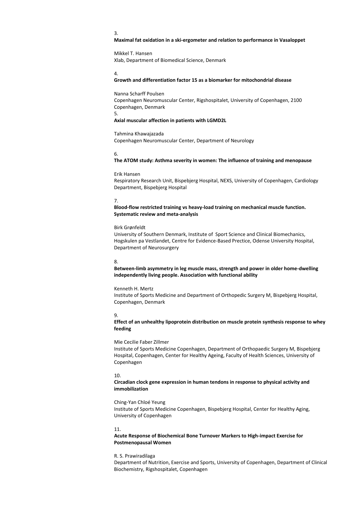#### 3.

#### **Maximal fat oxidation in a ski-ergometer and relation to performance in Vasaloppet**

Mikkel T. Hansen Xlab, Department of Biomedical Science, Denmark

4.

#### **Growth and differentiation factor 15 as a biomarker for mitochondrial disease**

Nanna Scharff Poulsen Copenhagen Neuromuscular Center, Rigshospitalet, University of Copenhagen, 2100 Copenhagen, Denmark 5.

#### **Axial muscular affection in patients with LGMD2L**

Tahmina Khawajazada

Copenhagen Neuromuscular Center, Department of Neurology

#### 6.

**The ATOM study: Asthma severity in women: The influence of training and menopause**

#### Erik Hansen

Respiratory Research Unit, Bispebjerg Hospital, NEXS, University of Copenhagen, Cardiology Department, Bispebjerg Hospital

#### 7.

**Blood-flow restricted training vs heavy-load training on mechanical muscle function. Systematic review and meta-analysis**

#### Birk Grønfeldt

University of Southern Denmark, Institute of Sport Science and Clinical Biomechanics, Hogskulen pa Vestlandet, Centre for Evidence-Based Prectice, Odense University Hospital, Department of Neurosurgery

#### 8.

**Between-limb asymmetry in leg muscle mass, strength and power in older home-dwelling independently living people. Association with functional ability**

#### Kenneth H. Mertz

Institute of Sports Medicine and Department of Orthopedic Surgery M, Bispebjerg Hospital, Copenhagen, Denmark

#### 9.

**Effect of an unhealthy lipoprotein distribution on muscle protein synthesis response to whey feeding**

#### Mie Cecilie Faber Zillmer

Institute of Sports Medicine Copenhagen, Department of Orthopaedic Surgery M, Bispebjerg Hospital, Copenhagen, Center for Healthy Ageing, Faculty of Health Sciences, University of Copenhagen

#### 10.

**Circadian clock gene expression in human tendons in response to physical activity and immobilization**

#### Ching-Yan Chloé Yeung

Institute of Sports Medicine Copenhagen, Bispebjerg Hospital, Center for Healthy Aging, University of Copenhagen

#### 11.

#### **Acute Response of Biochemical Bone Turnover Markers to High-impact Exercise for Postmenopausal Women**

#### R. S. Prawiradilaga

Department of Nutrition, Exercise and Sports, University of Copenhagen, Department of Clinical Biochemistry, Rigshospitalet, Copenhagen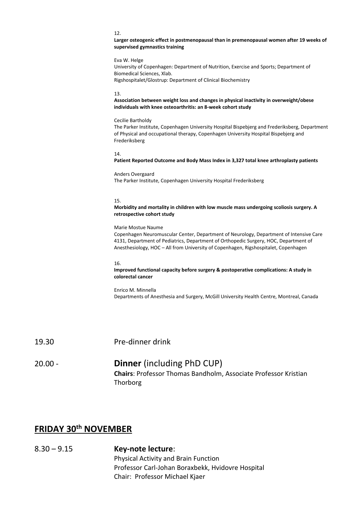#### 12.

**Larger osteogenic effect in postmenopausal than in premenopausal women after 19 weeks of supervised gymnastics training**

Eva W. Helge University of Copenhagen: Department of Nutrition, Exercise and Sports; Department of Biomedical Sciences, Xlab. Rigshospitalet/Glostrup: Department of Clinical Biochemistry

#### 13.

**Association between weight loss and changes in physical inactivity in overweight/obese individuals with knee osteoarthritis: an 8-week cohort study**

#### Cecilie Bartholdy

The Parker Institute, Copenhagen University Hospital Bispebjerg and Frederiksberg, Department of Physical and occupational therapy, Copenhagen University Hospital Bispebjerg and Frederiksberg

#### 14.

#### **Patient Reported Outcome and Body Mass Index in 3,327 total knee arthroplasty patients**

#### Anders Overgaard The Parker Institute, Copenhagen University Hospital Frederiksberg

#### 15.

#### **Morbidity and mortality in children with low muscle mass undergoing scoliosis surgery. A retrospective cohort study**

#### Marie Mostue Naume

Copenhagen Neuromuscular Center, Department of Neurology, Department of Intensive Care 4131, Department of Pediatrics, Department of Orthopedic Surgery, HOC, Department of Anesthesiology, HOC – All from University of Copenhagen, Rigshospitalet, Copenhagen

#### 16.

#### **Improved functional capacity before surgery & postoperative complications: A study in colorectal cancer**

Enrico M. Minnella Departments of Anesthesia and Surgery, McGill University Health Centre, Montreal, Canada

19.30 Pre-dinner drink

### 20.00 - **Dinner** (including PhD CUP) **Chairs**: Professor Thomas Bandholm, Associate Professor Kristian Thorborg

### **FRIDAY 30th NOVEMBER**

8.30 – 9.15 **Key-note lecture**: Physical Activity and Brain Function Professor Carl-Johan Boraxbekk, Hvidovre Hospital Chair: Professor Michael Kjaer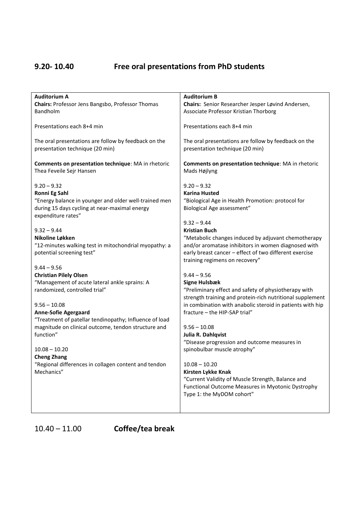## **9.20- 10.40 Free oral presentations from PhD students**

| <b>Auditorium A</b><br>Chairs: Professor Jens Bangsbo, Professor Thomas<br>Bandholm                                                                                                                                                                                                                                                                                                                                           | <b>Auditorium B</b><br>Chairs: Senior Researcher Jesper Løvind Andersen,<br>Associate Professor Kristian Thorborg                                                                                                                                                                                                                                                                                                                                                                                                                                               |
|-------------------------------------------------------------------------------------------------------------------------------------------------------------------------------------------------------------------------------------------------------------------------------------------------------------------------------------------------------------------------------------------------------------------------------|-----------------------------------------------------------------------------------------------------------------------------------------------------------------------------------------------------------------------------------------------------------------------------------------------------------------------------------------------------------------------------------------------------------------------------------------------------------------------------------------------------------------------------------------------------------------|
| Presentations each 8+4 min                                                                                                                                                                                                                                                                                                                                                                                                    | Presentations each 8+4 min                                                                                                                                                                                                                                                                                                                                                                                                                                                                                                                                      |
| The oral presentations are follow by feedback on the<br>presentation technique (20 min)                                                                                                                                                                                                                                                                                                                                       | The oral presentations are follow by feedback on the<br>presentation technique (20 min)                                                                                                                                                                                                                                                                                                                                                                                                                                                                         |
| Comments on presentation technique: MA in rhetoric<br>Thea Feveile Sejr Hansen                                                                                                                                                                                                                                                                                                                                                | Comments on presentation technique: MA in rhetoric<br>Mads Højlyng                                                                                                                                                                                                                                                                                                                                                                                                                                                                                              |
| $9.20 - 9.32$<br>Ronni Eg Sahl<br>"Energy balance in younger and older well-trained men<br>during 15 days cycling at near-maximal energy<br>expenditure rates"                                                                                                                                                                                                                                                                | $9.20 - 9.32$<br><b>Karina Husted</b><br>"Biological Age in Health Promotion: protocol for<br>Biological Age assessment"                                                                                                                                                                                                                                                                                                                                                                                                                                        |
| $9.32 - 9.44$<br>Nikoline Løkken<br>"12-minutes walking test in mitochondrial myopathy: a<br>potential screening test"                                                                                                                                                                                                                                                                                                        | $9.32 - 9.44$<br><b>Kristian Buch</b><br>"Metabolic changes induced by adjuvant chemotherapy<br>and/or aromatase inhibitors in women diagnosed with<br>early breast cancer - effect of two different exercise<br>training regimens on recovery"                                                                                                                                                                                                                                                                                                                 |
| $9.44 - 9.56$<br><b>Christian Pilely Olsen</b><br>"Management of acute lateral ankle sprains: A<br>randomized, controlled trial"<br>$9.56 - 10.08$<br><b>Anne-Sofie Agergaard</b><br>"Treatment of patellar tendinopathy; Influence of load<br>magnitude on clinical outcome, tendon structure and<br>function"<br>$10.08 - 10.20$<br><b>Cheng Zhang</b><br>Regional differences in collagen content and tendon<br>Mechanics" | $9.44 - 9.56$<br><b>Signe Hulsbæk</b><br>"Preliminary effect and safety of physiotherapy with<br>strength training and protein-rich nutritional supplement<br>in combination with anabolic steroid in patients with hip<br>fracture - the HIP-SAP trial"<br>$9.56 - 10.08$<br>Julia R. Dahlqvist<br>"Disease progression and outcome measures in<br>spinobulbar muscle atrophy"<br>$10.08 - 10.20$<br>Kirsten Lykke Knak<br>"Current Validity of Muscle Strength, Balance and<br>Functional Outcome Measures in Myotonic Dystrophy<br>Type 1: the MyDOM cohort" |

10.40 – 11.00 **Coffee/tea break**